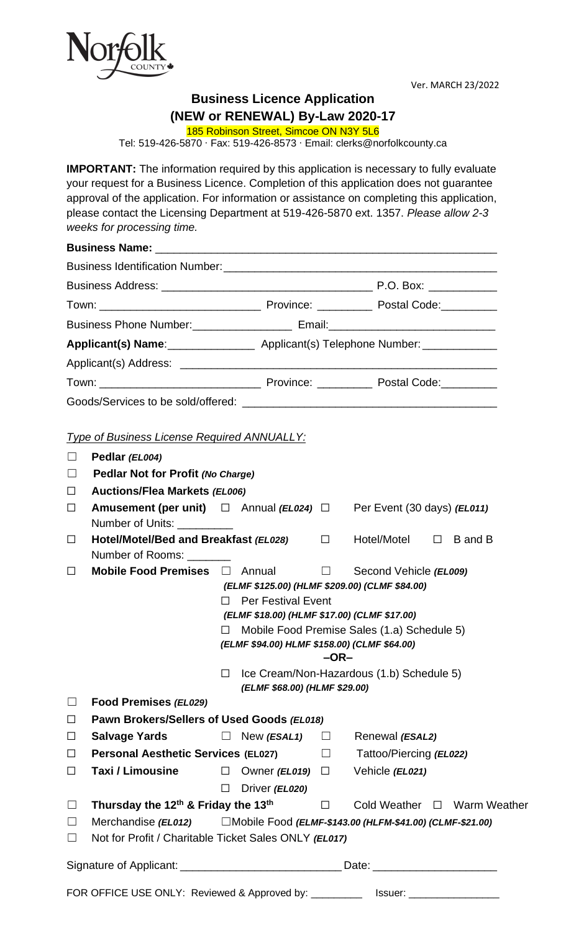

Ver. MARCH 23/2022

## **Business Licence Application**

**(NEW or RENEWAL) By-Law 2020-17**

185 Robinson Street, Simcoe ON N3Y 5L6

Tel: 519-426-5870 ∙ Fax: 519-426-8573 ∙ Email: clerks@norfolkcounty.ca

**IMPORTANT:** The information required by this application is necessary to fully evaluate your request for a Business Licence. Completion of this application does not guarantee approval of the application. For information or assistance on completing this application, please contact the Licensing Department at 519-426-5870 ext. 1357. *Please allow 2-3 weeks for processing time.*

| Business Phone Number: ______________________ Email:____________________________                                                                                                                                              |  |
|-------------------------------------------------------------------------------------------------------------------------------------------------------------------------------------------------------------------------------|--|
| Applicant(s) Name: ___________________ Applicant(s) Telephone Number: ___________                                                                                                                                             |  |
|                                                                                                                                                                                                                               |  |
| Town: Town: Town: Town: Town: Town: Town: Town: Town: Town: Town: Town: Town: Town: Town: Town: Town: Town: Town: Town: Town: Town: Town: Town: Town: Town: Town: Town: Town: Town: Town: Town: Town: Town: Town: Town: Town: |  |
|                                                                                                                                                                                                                               |  |

#### *Type of Business License Required ANNUALLY:*

| ⊔      | Pedlar (EL004)                                                                                                             |        |                                                |        |                         |        |                             |
|--------|----------------------------------------------------------------------------------------------------------------------------|--------|------------------------------------------------|--------|-------------------------|--------|-----------------------------|
| ⊔      | <b>Pedlar Not for Profit (No Charge)</b>                                                                                   |        |                                                |        |                         |        |                             |
| $\Box$ | <b>Auctions/Flea Markets (EL006)</b>                                                                                       |        |                                                |        |                         |        |                             |
| $\Box$ | <b>Amusement (per unit)</b> $\Box$ Annual ( <i>EL024</i> ) $\Box$ Per Event (30 days) ( <i>EL011</i> )<br>Number of Units: |        |                                                |        |                         |        |                             |
| $\Box$ | Hotel/Motel/Bed and Breakfast (EL028)<br>Number of Rooms:                                                                  |        |                                                | $\Box$ | Hotel/Motel             | $\Box$ | B and B                     |
| $\Box$ | Mobile Food Premises $\Box$ Annual                                                                                         |        |                                                | $\Box$ | Second Vehicle (EL009)  |        |                             |
|        |                                                                                                                            |        | (ELMF \$125.00) (HLMF \$209.00) (CLMF \$84.00) |        |                         |        |                             |
|        |                                                                                                                            | П      | <b>Per Festival Event</b>                      |        |                         |        |                             |
|        |                                                                                                                            |        | (ELMF \$18.00) (HLMF \$17.00) (CLMF \$17.00)   |        |                         |        |                             |
|        |                                                                                                                            | П      | Mobile Food Premise Sales (1.a) Schedule 5)    |        |                         |        |                             |
|        |                                                                                                                            |        | (ELMF \$94.00) HLMF \$158.00) (CLMF \$64.00)   |        |                         |        |                             |
|        |                                                                                                                            |        |                                                | $-OR-$ |                         |        |                             |
|        | Ice Cream/Non-Hazardous (1.b) Schedule 5)<br>$\Box$                                                                        |        |                                                |        |                         |        |                             |
|        |                                                                                                                            |        | (ELMF \$68.00) (HLMF \$29.00)                  |        |                         |        |                             |
| ப      | Food Premises (EL029)                                                                                                      |        |                                                |        |                         |        |                             |
| $\Box$ | Pawn Brokers/Sellers of Used Goods (EL018)                                                                                 |        |                                                |        |                         |        |                             |
| $\Box$ | <b>Salvage Yards</b>                                                                                                       |        | $\Box$ New (ESAL1) $\Box$                      |        | Renewal (ESAL2)         |        |                             |
| $\Box$ | <b>Personal Aesthetic Services (EL027)</b>                                                                                 |        |                                                | $\Box$ | Tattoo/Piercing (EL022) |        |                             |
| $\Box$ | Taxi / Limousine                                                                                                           | $\Box$ | Owner ( <i>EL019</i> ) $\Box$                  |        | Vehicle (EL021)         |        |                             |
|        |                                                                                                                            | $\Box$ | Driver (EL020)                                 |        |                         |        |                             |
| $\Box$ | Thursday the 12 <sup>th</sup> & Friday the 13 <sup>th</sup>                                                                |        |                                                | $\Box$ |                         |        | Cold Weather □ Warm Weather |
| ப      | □Mobile Food (ELMF-\$143.00 (HLFM-\$41.00) (CLMF-\$21.00)<br>Merchandise (EL012)                                           |        |                                                |        |                         |        |                             |
| $\Box$ | Not for Profit / Charitable Ticket Sales ONLY (EL017)                                                                      |        |                                                |        |                         |        |                             |
|        |                                                                                                                            |        |                                                |        |                         |        |                             |
|        | Signature of Applicant: Date: Date: Date:                                                                                  |        |                                                |        |                         |        |                             |
|        | FOR OFFICE USE ONLY: Reviewed & Approved by: _____________ Issuer: _____________                                           |        |                                                |        |                         |        |                             |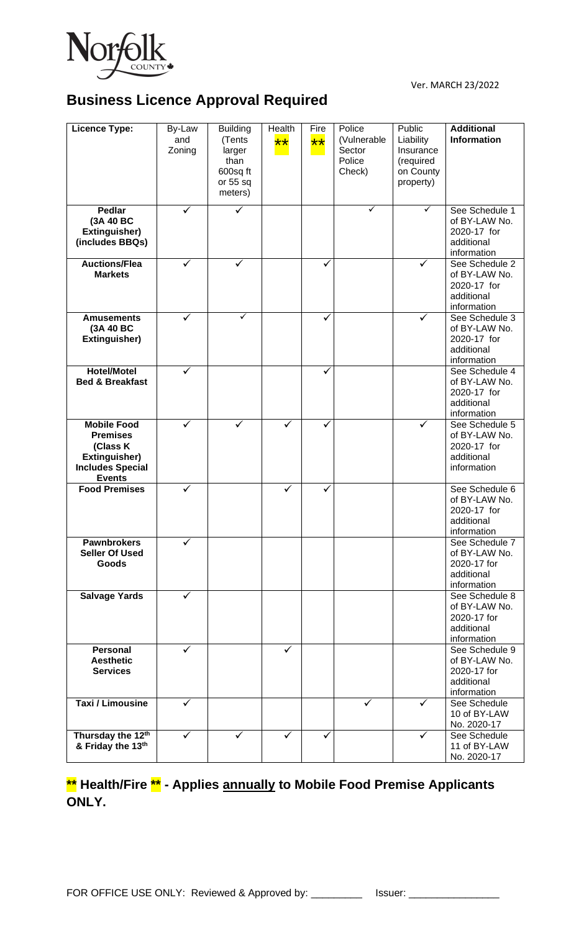

Ver. MARCH 23/2022

# **Business Licence Approval Required**

| <b>Licence Type:</b>                                                                                           | By-Law<br>and<br>Zoning | <b>Building</b><br>(Tents<br>larger<br>than<br>600sq ft<br>or 55 sq<br>meters) | Health<br>$**$ | Fire<br>$\star\star$ | Police<br>(Vulnerable<br>Sector<br>Police<br>Check) | Public<br>Liability<br>Insurance<br>(required<br>on County<br>property) | <b>Additional</b><br><b>Information</b>                                     |
|----------------------------------------------------------------------------------------------------------------|-------------------------|--------------------------------------------------------------------------------|----------------|----------------------|-----------------------------------------------------|-------------------------------------------------------------------------|-----------------------------------------------------------------------------|
| Pedlar<br>(3A 40 BC<br>Extinguisher)<br>(includes BBQs)                                                        | $\checkmark$            | ✓                                                                              |                |                      | ✓                                                   | $\checkmark$                                                            | See Schedule 1<br>of BY-LAW No.<br>2020-17 for<br>additional<br>information |
| <b>Auctions/Flea</b><br><b>Markets</b>                                                                         | $\checkmark$            | $\checkmark$                                                                   |                | ✓                    |                                                     | $\checkmark$                                                            | See Schedule 2<br>of BY-LAW No.<br>2020-17 for<br>additional<br>information |
| <b>Amusements</b><br>(3A 40 BC<br>Extinguisher)                                                                | ✓                       | ✓                                                                              |                | ✓                    |                                                     | ✓                                                                       | See Schedule 3<br>of BY-LAW No.<br>2020-17 for<br>additional<br>information |
| <b>Hotel/Motel</b><br><b>Bed &amp; Breakfast</b>                                                               | $\checkmark$            |                                                                                |                | ✓                    |                                                     |                                                                         | See Schedule 4<br>of BY-LAW No.<br>2020-17 for<br>additional<br>information |
| <b>Mobile Food</b><br><b>Premises</b><br>(Class K<br>Extinguisher)<br><b>Includes Special</b><br><b>Events</b> | $\checkmark$            | $\checkmark$                                                                   | $\checkmark$   | ✓                    |                                                     | $\checkmark$                                                            | See Schedule 5<br>of BY-LAW No.<br>2020-17 for<br>additional<br>information |
| <b>Food Premises</b>                                                                                           | ✓                       |                                                                                | $\checkmark$   | ✓                    |                                                     |                                                                         | See Schedule 6<br>of BY-LAW No.<br>2020-17 for<br>additional<br>information |
| <b>Pawnbrokers</b><br><b>Seller Of Used</b><br><b>Goods</b>                                                    |                         |                                                                                |                |                      |                                                     |                                                                         | See Schedule 7<br>of BY-LAW No.<br>2020-17 for<br>additional<br>information |
| <b>Salvage Yards</b>                                                                                           | ✓                       |                                                                                |                |                      |                                                     |                                                                         | See Schedule 8<br>of BY-LAW No.<br>2020-17 for<br>additional<br>information |
| <b>Personal</b><br><b>Aesthetic</b><br><b>Services</b>                                                         | ✓                       |                                                                                | ✓              |                      |                                                     |                                                                         | See Schedule 9<br>of BY-LAW No.<br>2020-17 for<br>additional<br>information |
| <b>Taxi / Limousine</b>                                                                                        | ✓                       |                                                                                |                |                      | ✓                                                   | ✓                                                                       | See Schedule<br>10 of BY-LAW<br>No. 2020-17                                 |
| Thursday the 12th<br>& Friday the 13th                                                                         | $\overline{\checkmark}$ | $\checkmark$                                                                   | $\checkmark$   | ✓                    |                                                     | ✓                                                                       | See Schedule<br>11 of BY-LAW<br>No. 2020-17                                 |

## **\*\* Health/Fire \*\* - Applies annually to Mobile Food Premise Applicants ONLY.**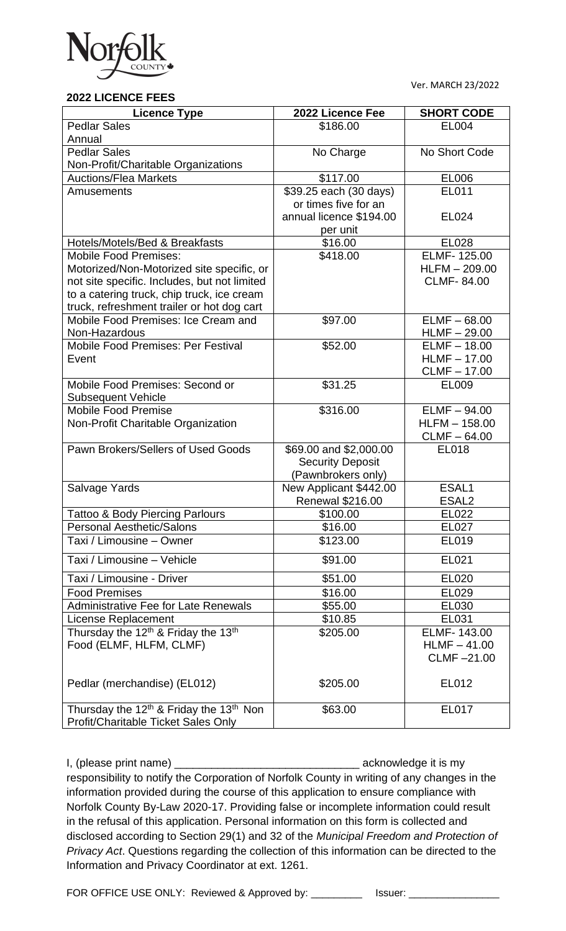

**2022 LICENCE FEES**

Ver. MARCH 23/2022

| ZUZZ LICENCE FEES                                           |                                                   |                   |
|-------------------------------------------------------------|---------------------------------------------------|-------------------|
| <b>Licence Type</b>                                         | 2022 Licence Fee                                  | <b>SHORT CODE</b> |
| <b>Pedlar Sales</b>                                         | \$186.00                                          | <b>EL004</b>      |
| Annual                                                      |                                                   |                   |
| <b>Pedlar Sales</b>                                         | No Charge                                         | No Short Code     |
| Non-Profit/Charitable Organizations                         |                                                   |                   |
| <b>Auctions/Flea Markets</b>                                | \$117.00                                          | EL006             |
| Amusements                                                  | \$39.25 each (30 days)                            | <b>EL011</b>      |
|                                                             | or times five for an                              |                   |
|                                                             | annual licence \$194.00                           | EL024             |
|                                                             | per unit                                          |                   |
| Hotels/Motels/Bed & Breakfasts                              | \$16.00                                           | EL028             |
| <b>Mobile Food Premises:</b>                                | \$418.00                                          | ELMF-125.00       |
| Motorized/Non-Motorized site specific, or                   |                                                   | $HLFM - 209.00$   |
| not site specific. Includes, but not limited                |                                                   | <b>CLMF-84.00</b> |
| to a catering truck, chip truck, ice cream                  |                                                   |                   |
| truck, refreshment trailer or hot dog cart                  |                                                   |                   |
| Mobile Food Premises: Ice Cream and                         | \$97.00                                           | $ELMF - 68.00$    |
| Non-Hazardous                                               |                                                   | $HLMF - 29.00$    |
| <b>Mobile Food Premises: Per Festival</b>                   | \$52.00                                           | $ELMF - 18.00$    |
| Event                                                       |                                                   | $HLMF - 17.00$    |
|                                                             |                                                   | <b>CLMF-17.00</b> |
| Mobile Food Premises: Second or                             | \$31.25                                           | EL009             |
| <b>Subsequent Vehicle</b>                                   |                                                   |                   |
| <b>Mobile Food Premise</b>                                  | \$316.00                                          | $ELMF - 94.00$    |
| Non-Profit Charitable Organization                          |                                                   | $HLFM - 158.00$   |
|                                                             |                                                   | $CLMF - 64.00$    |
| Pawn Brokers/Sellers of Used Goods                          | \$69.00 and \$2,000.00                            | EL018             |
|                                                             | <b>Security Deposit</b>                           |                   |
|                                                             | (Pawnbrokers only)                                | ESAL1             |
| Salvage Yards                                               | New Applicant \$442.00<br><b>Renewal \$216.00</b> | ESAL <sub>2</sub> |
| <b>Tattoo &amp; Body Piercing Parlours</b>                  | \$100.00                                          | EL022             |
| <b>Personal Aesthetic/Salons</b>                            | \$16.00                                           | EL027             |
| Taxi / Limousine - Owner                                    | \$123.00                                          | EL019             |
|                                                             |                                                   |                   |
| Taxi / Limousine - Vehicle                                  | \$91.00                                           | EL021             |
| Taxi / Limousine - Driver                                   | \$51.00                                           | EL020             |
| <b>Food Premises</b>                                        | \$16.00                                           | EL029             |
| <b>Administrative Fee for Late Renewals</b>                 | \$55.00                                           | EL030             |
| <b>License Replacement</b>                                  | \$10.85                                           | EL031             |
| Thursday the 12 <sup>th</sup> & Friday the 13 <sup>th</sup> | \$205.00                                          | ELMF-143.00       |
| Food (ELMF, HLFM, CLMF)                                     |                                                   | $HLMF - 41.00$    |
|                                                             |                                                   | CLMF-21.00        |
|                                                             |                                                   |                   |
| Pedlar (merchandise) (EL012)                                | \$205.00                                          | EL012             |
|                                                             |                                                   |                   |
| Thursday the $12th$ & Friday the $13th$ Non                 | \$63.00                                           | EL017             |
| Profit/Charitable Ticket Sales Only                         |                                                   |                   |

I, (please print name) \_\_\_\_\_\_\_\_\_\_\_\_\_\_\_\_\_\_\_\_\_\_\_\_\_\_\_\_\_\_ acknowledge it is my responsibility to notify the Corporation of Norfolk County in writing of any changes in the information provided during the course of this application to ensure compliance with Norfolk County By-Law 2020-17. Providing false or incomplete information could result in the refusal of this application. Personal information on this form is collected and disclosed according to Section 29(1) and 32 of the *Municipal Freedom and Protection of Privacy Act*. Questions regarding the collection of this information can be directed to the Information and Privacy Coordinator at ext. 1261.

FOR OFFICE USE ONLY: Reviewed & Approved by: \_\_\_\_\_\_\_\_\_ Issuer: \_\_\_\_\_\_\_\_\_\_\_\_\_\_\_\_